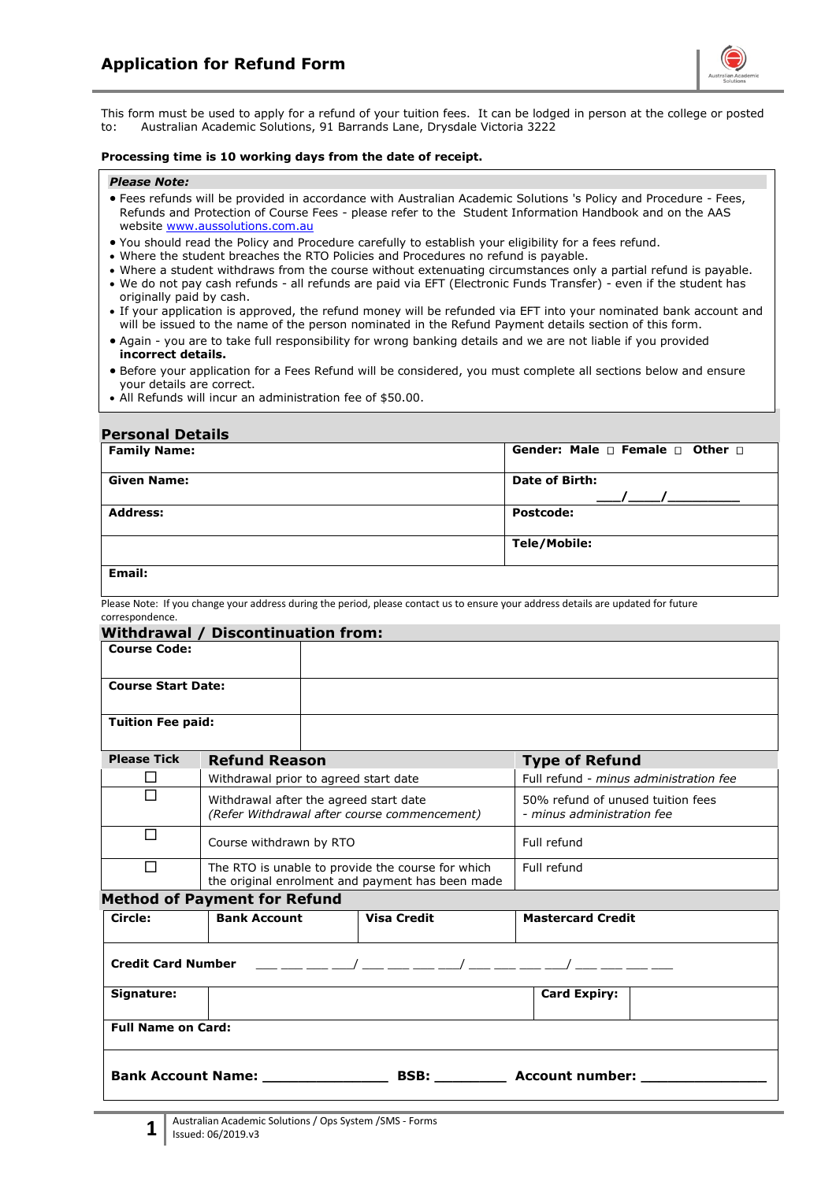

This form must be used to apply for a refund of your tuition fees. It can be lodged in person at the college or posted to: Australian Academic Solutions, 91 Barrands Lane, Drysdale Victoria 3222

#### **Processing time is 10 working days from the date of receipt.**

#### *Please Note:*

- Fees refunds will be provided in accordance with Australian Academic Solutions 's Policy and Procedure Fees, Refunds and Protection of Course Fees - please refer to the Student Information Handbook and on the AAS website [www.aussolutions.com.au](http://www.titantraining.com.au/)
- You should read the Policy and Procedure carefully to establish your eligibility for a fees refund.
- Where the student breaches the RTO Policies and Procedures no refund is payable.
- Where a student withdraws from the course without extenuating circumstances only a partial refund is payable.
- We do not pay cash refunds all refunds are paid via EFT (Electronic Funds Transfer) even if the student has originally paid by cash.
- If your application is approved, the refund money will be refunded via EFT into your nominated bank account and will be issued to the name of the person nominated in the Refund Payment details section of this form.
- Again you are to take full responsibility for wrong banking details and we are not liable if you provided **incorrect details.**
- Before your application for a Fees Refund will be considered, you must complete all sections below and ensure your details are correct.
- All Refunds will incur an administration fee of \$50.00.

#### **Personal Details**

| . 9.99.19. Petalis  |                                                |  |
|---------------------|------------------------------------------------|--|
| <b>Family Name:</b> | Gender: Male $\Box$ Female $\Box$ Other $\Box$ |  |
| <b>Given Name:</b>  | <b>Date of Birth:</b>                          |  |
| <b>Address:</b>     | <b>Postcode:</b>                               |  |
|                     | Tele/Mobile:                                   |  |
| <b>Email:</b>       |                                                |  |

Please Note: If you change your address during the period, please contact us to ensure your address details are updated for future correspondence.

| <b>Course Code:</b>                                                                                   |                    |                                                                                                                                                                                                                                                                                                                                                                                                                                                                                                  |
|-------------------------------------------------------------------------------------------------------|--------------------|--------------------------------------------------------------------------------------------------------------------------------------------------------------------------------------------------------------------------------------------------------------------------------------------------------------------------------------------------------------------------------------------------------------------------------------------------------------------------------------------------|
| <b>Course Start Date:</b>                                                                             |                    |                                                                                                                                                                                                                                                                                                                                                                                                                                                                                                  |
| <b>Tuition Fee paid:</b>                                                                              |                    |                                                                                                                                                                                                                                                                                                                                                                                                                                                                                                  |
| <b>Please Tick</b><br><b>Refund Reason</b>                                                            |                    | <b>Type of Refund</b>                                                                                                                                                                                                                                                                                                                                                                                                                                                                            |
| Withdrawal prior to agreed start date                                                                 |                    | Full refund - minus administration fee                                                                                                                                                                                                                                                                                                                                                                                                                                                           |
| Withdrawal after the agreed start date<br>(Refer Withdrawal after course commencement)                |                    | 50% refund of unused tuition fees<br>- minus administration fee                                                                                                                                                                                                                                                                                                                                                                                                                                  |
| Course withdrawn by RTO                                                                               |                    | Full refund                                                                                                                                                                                                                                                                                                                                                                                                                                                                                      |
| The RTO is unable to provide the course for which<br>the original enrolment and payment has been made |                    | Full refund                                                                                                                                                                                                                                                                                                                                                                                                                                                                                      |
|                                                                                                       |                    |                                                                                                                                                                                                                                                                                                                                                                                                                                                                                                  |
| <b>Bank Account</b>                                                                                   | <b>Visa Credit</b> | <b>Mastercard Credit</b>                                                                                                                                                                                                                                                                                                                                                                                                                                                                         |
|                                                                                                       |                    |                                                                                                                                                                                                                                                                                                                                                                                                                                                                                                  |
|                                                                                                       |                    | <b>Card Expiry:</b>                                                                                                                                                                                                                                                                                                                                                                                                                                                                              |
| <b>Full Name on Card:</b>                                                                             |                    |                                                                                                                                                                                                                                                                                                                                                                                                                                                                                                  |
|                                                                                                       |                    |                                                                                                                                                                                                                                                                                                                                                                                                                                                                                                  |
|                                                                                                       |                    | Withdrawal / Discontinuation from:<br><b>Method of Payment for Refund</b><br>Credit Card Number $\qquad \qquad \underline{\qquad}$ $\qquad \qquad \underline{\qquad}$ $\qquad \qquad \underline{\qquad}$ $\qquad \qquad \underline{\qquad}$ $\qquad \qquad \underline{\qquad}$ $\qquad \qquad \underline{\qquad}$ $\qquad \qquad \underline{\qquad}$ $\qquad \qquad \underline{\qquad}$ $\qquad \qquad \underline{\qquad}$ $\qquad \qquad \underline{\qquad}$ $\qquad \qquad \underline{\qquad}$ |

**1**